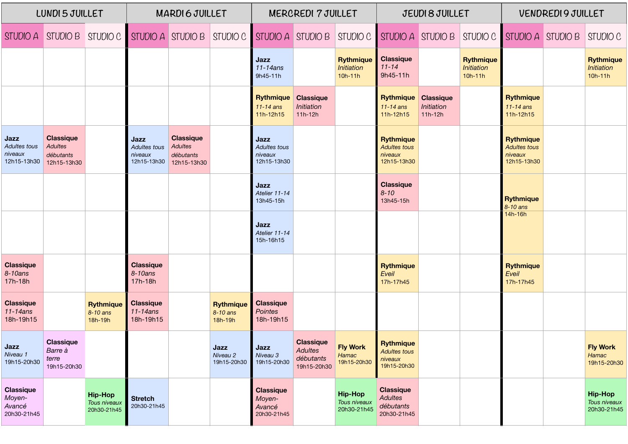| LUNDI 5 JUILLET                                     |                                                                | <b>MARDIGJUILLET</b>                          |                                                |                                                                | <b>MERCREDI 7 JUILLET</b>               |                                                     |                                                                | JEUDI 8 JUILLET                                    |                                                                   |                                             | <b>VENDREDI9JUILLET</b>                     |                                                                   |  |                                               |
|-----------------------------------------------------|----------------------------------------------------------------|-----------------------------------------------|------------------------------------------------|----------------------------------------------------------------|-----------------------------------------|-----------------------------------------------------|----------------------------------------------------------------|----------------------------------------------------|-------------------------------------------------------------------|---------------------------------------------|---------------------------------------------|-------------------------------------------------------------------|--|-----------------------------------------------|
| STUDIO A                                            | STUDIO B STUDIO C STUDIO A STUDIO B                            |                                               |                                                |                                                                | STUDIO C                                | STUDIO A STUDIO B                                   |                                                                | STUDIO C                                           | STUDIO A STUDIO B                                                 |                                             | STUDIO C                                    | $\blacksquare$ STUDIO A $\blacksquare$ STUDIO B                   |  | STUDIO C                                      |
|                                                     |                                                                |                                               |                                                |                                                                |                                         | Jazz<br>$11-14ans$<br>9h45-11h                      |                                                                | <b>Rythmique</b><br><b>Initiation</b><br>$10h-11h$ | <b>Classique</b><br>$11 - 14$<br>9h45-11h                         |                                             | <b>Rythmique</b><br>Initiation<br>$10h-11h$ |                                                                   |  | <b>Rythmique</b><br>Initiation<br>$10h-11h$   |
|                                                     |                                                                |                                               |                                                |                                                                |                                         | <b>Rythmique</b><br>$11-14$ ans<br>11h-12h15        | <b>Classique</b><br>Initiation<br>$11h-12h$                    |                                                    | <b>Rythmique</b><br>$11-14$ ans<br>11h-12h15                      | <b>Classique</b><br>Initiation<br>$11h-12h$ |                                             | <b>Rythmique</b><br>$11-14$ ans<br>11h-12h15                      |  |                                               |
| Jazz<br>Adultes tous<br>niveaux<br>12h15-13h30      | <b>Classique</b><br><b>Adultes</b><br>débutants<br>12h15-13h30 |                                               | Jazz<br>Adultes tous<br>niveaux<br>12h15-13h30 | <b>Classique</b><br><b>Adultes</b><br>débutants<br>12h15-13h30 |                                         | Jazz<br>Adultes tous<br>niveaux<br>12h15-13h30      |                                                                |                                                    | <b>Rythmique</b><br><b>Adultes tous</b><br>niveaux<br>12h15-13h30 |                                             |                                             | <b>Rythmique</b><br><b>Adultes tous</b><br>niveaux<br>12h15-13h30 |  |                                               |
|                                                     |                                                                |                                               |                                                |                                                                |                                         | Jazz<br>Atelier 11-14<br>13h45-15h                  |                                                                |                                                    | <b>Classique</b><br>$8 - 10$<br>13h45-15h                         |                                             |                                             | <b>Rythmique</b><br>8-10 ans                                      |  |                                               |
|                                                     |                                                                |                                               |                                                |                                                                |                                         | Jazz<br>Atelier 11-14<br>15h-16h15                  |                                                                |                                                    |                                                                   |                                             |                                             | 14h-16h                                                           |  |                                               |
| <b>Classique</b><br>8-10ans<br>17h-18h              |                                                                |                                               | <b>Classique</b><br>8-10ans<br>17h-18h         |                                                                |                                         |                                                     |                                                                |                                                    | <b>Rythmique</b><br>Eveil<br>17h-17h45                            |                                             |                                             | <b>Rythmique</b><br>Eveil<br>17h-17h45                            |  |                                               |
| <b>Classique</b><br>11-14ans<br>18h-19h15           |                                                                | <b>Rythmique</b><br>8-10 ans<br>18h-19h       | <b>Classique</b><br>$11-14ans$<br>18h-19h15    |                                                                | <b>Rythmique</b><br>8-10 ans<br>18h-19h | <b>Classique</b><br><b>Pointes</b><br>18h-19h15     |                                                                |                                                    |                                                                   |                                             |                                             |                                                                   |  |                                               |
| Jazz<br>Niveau 1<br>19h15-20h30                     | <b>Classique</b><br>Barre à<br>terre<br>19h15-20h30            |                                               |                                                |                                                                | Jazz<br>Niveau 2<br>19h15-20h30         | Jazz<br>Niveau 3<br>19h15-20h30                     | <b>Classique</b><br><b>Adultes</b><br>débutants<br>19h15-20h30 | <b>Fly Work</b><br>Hamac<br>19h15-20h30            | <b>Rythmique</b><br><b>Adultes tous</b><br>niveaux<br>19h15-20h30 |                                             |                                             |                                                                   |  | <b>Fly Work</b><br>Hamac<br>19h15-20h30       |
| <b>Classique</b><br>Moyen-<br>Avancé<br>20h30-21h45 |                                                                | <b>Hip-Hop</b><br>Tous niveaux<br>20h30-21h45 | <b>Stretch</b><br>20h30-21h45                  |                                                                |                                         | <b>Classique</b><br>Moyen-<br>Avancé<br>20h30-21h45 |                                                                | <b>Hip-Hop</b><br>Tous niveaux<br>20h30-21h45      | <b>Classique</b><br><b>Adultes</b><br>débutants<br>20h30-21h45    |                                             |                                             |                                                                   |  | <b>Hip-Hop</b><br>Tous niveaux<br>20h30-21h45 |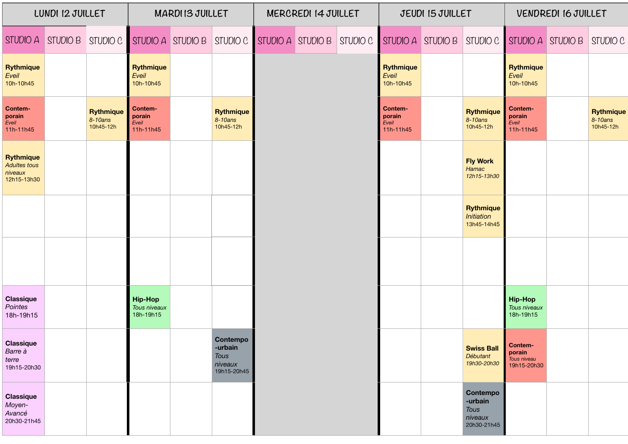| LUNDI 12 JUILLET                                                  |  |                                              | <b>MARDIIS JUILLET</b>                      |  |                                                       | MERCREDI 14 JUILLET |                                                                             |  |                                         | JEUDI IS JUILLET  |                                                              | <b>VENDREDI 16 JUILLET</b>                      |                   |                                          |
|-------------------------------------------------------------------|--|----------------------------------------------|---------------------------------------------|--|-------------------------------------------------------|---------------------|-----------------------------------------------------------------------------|--|-----------------------------------------|-------------------|--------------------------------------------------------------|-------------------------------------------------|-------------------|------------------------------------------|
|                                                                   |  | STUDIO A STUDIO B STUDIO C STUDIO A STUDIO B |                                             |  |                                                       |                     | $\vert$ STUDIO C $\vert$ STUDIO A $\vert$ STUDIO B $\vert$ STUDIO C $\vert$ |  |                                         | STUDIO A STUDIO B | STUDIO C                                                     |                                                 | STUDIO A STUDIO B | STUDIO C                                 |
| <b>Rythmique</b><br>Eveil<br>10h-10h45                            |  |                                              | <b>Rythmique</b><br>Eveil<br>10h-10h45      |  |                                                       |                     |                                                                             |  | <b>Rythmique</b><br>Eveil<br>10h-10h45  |                   |                                                              | <b>Rythmique</b><br>Eveil<br>10h-10h45          |                   |                                          |
| Contem-<br>porain<br>Eveil<br>11h-11h45                           |  | <b>Rythmique</b><br>8-10ans<br>10h45-12h     | Contem-<br>porain<br>Eveil<br>11h-11h45     |  | <b>Rythmique</b><br>8-10ans<br>10h45-12h              |                     |                                                                             |  | Contem-<br>porain<br>Eveil<br>11h-11h45 |                   | <b>Rythmique</b><br>8-10ans<br>10h45-12h                     | Contem-<br>porain<br>Eveil<br>11h-11h45         |                   | <b>Rythmique</b><br>8-10ans<br>10h45-12h |
| <b>Rythmique</b><br><b>Adultes tous</b><br>niveaux<br>12h15-13h30 |  |                                              |                                             |  |                                                       |                     |                                                                             |  |                                         |                   | <b>Fly Work</b><br>Hamac<br>12h15-13h30                      |                                                 |                   |                                          |
|                                                                   |  |                                              |                                             |  |                                                       |                     |                                                                             |  |                                         |                   | <b>Rythmique</b><br>Initiation<br>13h45-14h45                |                                                 |                   |                                          |
|                                                                   |  |                                              |                                             |  |                                                       |                     |                                                                             |  |                                         |                   |                                                              |                                                 |                   |                                          |
| <b>Classique</b><br>Pointes<br>18h-19h15                          |  |                                              | <b>Hip-Hop</b><br>Tous niveaux<br>18h-19h15 |  |                                                       |                     |                                                                             |  |                                         |                   |                                                              | <b>Hip-Hop</b><br>Tous niveaux<br>18h-19h15     |                   |                                          |
| <b>Classique</b><br>Barre à<br>terre<br>19h15-20h30               |  |                                              |                                             |  | Contempo<br>-urbain<br>Tous<br>niveaux<br>19h15-20h45 |                     |                                                                             |  |                                         |                   | <b>Swiss Ball</b><br>Débutant<br>19h30-20h30                 | Contem-<br>porain<br>Tous niveau<br>19h15-20h30 |                   |                                          |
| <b>Classique</b><br>Moyen-<br>Avancé<br>20h30-21h45               |  |                                              |                                             |  |                                                       |                     |                                                                             |  |                                         |                   | Contempo<br>-urbain<br><b>Tous</b><br>niveaux<br>20h30-21h45 |                                                 |                   |                                          |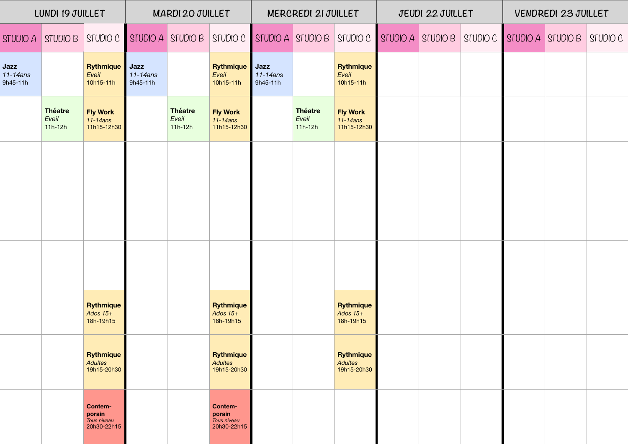| LUNDI 19 JUILLET               |                                      | MARDI 20 JUILLET                                |                              |                                      | MERCREDI 21 JUILLET                               |                                |                                      | JEUDI 22 JUILLET                                                                                            |  |  | VENDREDI 23 JUILLET |  |  |  |
|--------------------------------|--------------------------------------|-------------------------------------------------|------------------------------|--------------------------------------|---------------------------------------------------|--------------------------------|--------------------------------------|-------------------------------------------------------------------------------------------------------------|--|--|---------------------|--|--|--|
|                                | STUDIO A STUDIO B STUDIO C           |                                                 |                              |                                      |                                                   |                                |                                      | STUDIO A STUDIO B STUDIO C STUDIO A STUDIO B STUDIO C STUDIO A STUDIO B STUDIO C STUDIO A STUDIO B STUDIO C |  |  |                     |  |  |  |
| Jazz<br>$11-14ans$<br>9h45-11h |                                      | <b>Rythmique</b><br>Eveil<br>10h15-11h          | Jazz<br>11-14ans<br>9h45-11h |                                      | <b>Rythmique</b><br>Eveil<br>10h15-11h            | Jazz<br>$11-14ans$<br>9h45-11h |                                      | <b>Rythmique</b><br>Eveil<br>10h15-11h                                                                      |  |  |                     |  |  |  |
|                                | <b>Théatre</b><br>Eveil<br>$11h-12h$ | <b>Fly Work</b><br>11-14ans<br>11h15-12h30      |                              | <b>Théatre</b><br>Eveil<br>$11h-12h$ | <b>Fly Work</b><br>$11-14ans$<br>11h15-12h30      |                                | <b>Théatre</b><br>Eveil<br>$11h-12h$ | <b>Fly Work</b><br>11-14ans<br>11h15-12h30                                                                  |  |  |                     |  |  |  |
|                                |                                      |                                                 |                              |                                      |                                                   |                                |                                      |                                                                                                             |  |  |                     |  |  |  |
|                                |                                      |                                                 |                              |                                      |                                                   |                                |                                      |                                                                                                             |  |  |                     |  |  |  |
|                                |                                      |                                                 |                              |                                      |                                                   |                                |                                      |                                                                                                             |  |  |                     |  |  |  |
|                                |                                      | <b>Rythmique</b><br>Ados $15+$<br>18h-19h15     |                              |                                      | <b>Rythmique</b><br>Ados $15+$<br>18h-19h15       |                                |                                      | <b>Rythmique</b><br>Ados $15+$<br>18h-19h15                                                                 |  |  |                     |  |  |  |
|                                |                                      | <b>Rythmique</b><br>Adultes<br>19h15-20h30      |                              |                                      | <b>Rythmique</b><br><b>Adultes</b><br>19h15-20h30 |                                |                                      | <b>Rythmique</b><br>Adultes<br>19h15-20h30                                                                  |  |  |                     |  |  |  |
|                                |                                      | Contem-<br>porain<br>Tous niveau<br>20h30-22h15 |                              |                                      | Contem-<br>porain<br>Tous niveau<br>20h30-22h15   |                                |                                      |                                                                                                             |  |  |                     |  |  |  |